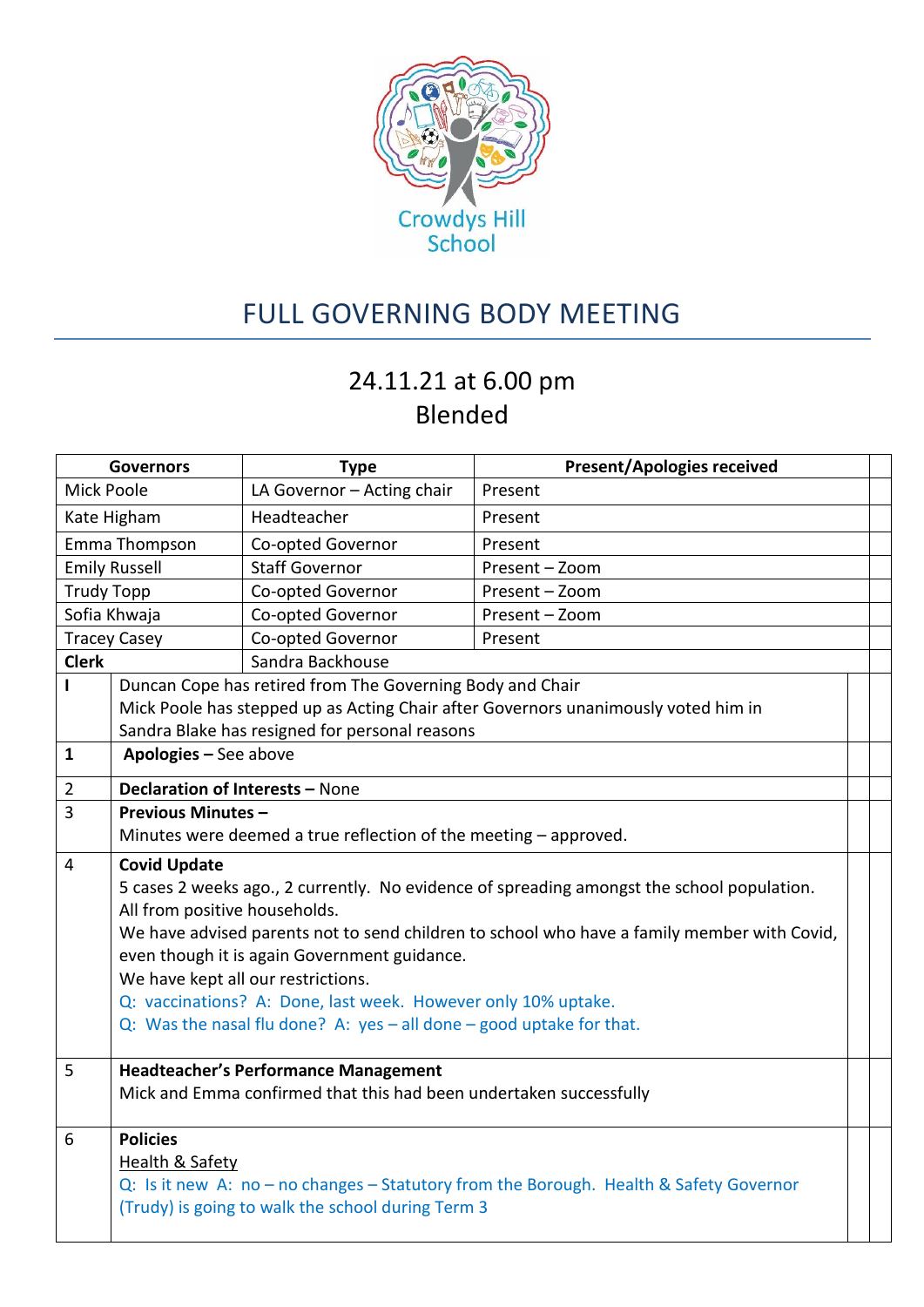

## FULL GOVERNING BODY MEETING

## 24.11.21 at 6.00 pm Blended

| <b>Governors</b>     |                                                                                                                                           | <b>Type</b>                                                        | <b>Present/Apologies received</b> |  |  |  |  |
|----------------------|-------------------------------------------------------------------------------------------------------------------------------------------|--------------------------------------------------------------------|-----------------------------------|--|--|--|--|
| <b>Mick Poole</b>    |                                                                                                                                           | LA Governor - Acting chair                                         | Present                           |  |  |  |  |
| Kate Higham          |                                                                                                                                           | Headteacher                                                        | Present                           |  |  |  |  |
| Emma Thompson        |                                                                                                                                           | Co-opted Governor                                                  | Present                           |  |  |  |  |
| <b>Emily Russell</b> |                                                                                                                                           | <b>Staff Governor</b>                                              | Present - Zoom                    |  |  |  |  |
| <b>Trudy Topp</b>    |                                                                                                                                           | Co-opted Governor                                                  | Present - Zoom                    |  |  |  |  |
| Sofia Khwaja         |                                                                                                                                           | Co-opted Governor                                                  | Present - Zoom                    |  |  |  |  |
| <b>Tracey Casey</b>  |                                                                                                                                           | Co-opted Governor                                                  | Present                           |  |  |  |  |
| <b>Clerk</b>         |                                                                                                                                           | Sandra Backhouse                                                   |                                   |  |  |  |  |
| L                    | Duncan Cope has retired from The Governing Body and Chair                                                                                 |                                                                    |                                   |  |  |  |  |
|                      | Mick Poole has stepped up as Acting Chair after Governors unanimously voted him in                                                        |                                                                    |                                   |  |  |  |  |
|                      |                                                                                                                                           | Sandra Blake has resigned for personal reasons                     |                                   |  |  |  |  |
| $\mathbf{1}$         | Apologies - See above                                                                                                                     |                                                                    |                                   |  |  |  |  |
| $\overline{2}$       | Declaration of Interests - None                                                                                                           |                                                                    |                                   |  |  |  |  |
| $\overline{3}$       | <b>Previous Minutes -</b>                                                                                                                 |                                                                    |                                   |  |  |  |  |
|                      |                                                                                                                                           | Minutes were deemed a true reflection of the meeting - approved.   |                                   |  |  |  |  |
| 4                    | <b>Covid Update</b>                                                                                                                       |                                                                    |                                   |  |  |  |  |
|                      | 5 cases 2 weeks ago., 2 currently. No evidence of spreading amongst the school population.                                                |                                                                    |                                   |  |  |  |  |
|                      | All from positive households.                                                                                                             |                                                                    |                                   |  |  |  |  |
|                      | We have advised parents not to send children to school who have a family member with Covid,                                               |                                                                    |                                   |  |  |  |  |
|                      | even though it is again Government guidance.                                                                                              |                                                                    |                                   |  |  |  |  |
|                      | We have kept all our restrictions.                                                                                                        |                                                                    |                                   |  |  |  |  |
|                      | Q: vaccinations? A: Done, last week. However only 10% uptake.<br>Q: Was the nasal flu done? A: yes $-$ all done $-$ good uptake for that. |                                                                    |                                   |  |  |  |  |
|                      |                                                                                                                                           |                                                                    |                                   |  |  |  |  |
| 5                    | <b>Headteacher's Performance Management</b>                                                                                               |                                                                    |                                   |  |  |  |  |
|                      |                                                                                                                                           | Mick and Emma confirmed that this had been undertaken successfully |                                   |  |  |  |  |
|                      |                                                                                                                                           |                                                                    |                                   |  |  |  |  |
| 6                    | <b>Policies</b>                                                                                                                           |                                                                    |                                   |  |  |  |  |
|                      | Health & Safety                                                                                                                           |                                                                    |                                   |  |  |  |  |
|                      | Q: Is it new A: no - no changes - Statutory from the Borough. Health & Safety Governor                                                    |                                                                    |                                   |  |  |  |  |
|                      | (Trudy) is going to walk the school during Term 3                                                                                         |                                                                    |                                   |  |  |  |  |
|                      |                                                                                                                                           |                                                                    |                                   |  |  |  |  |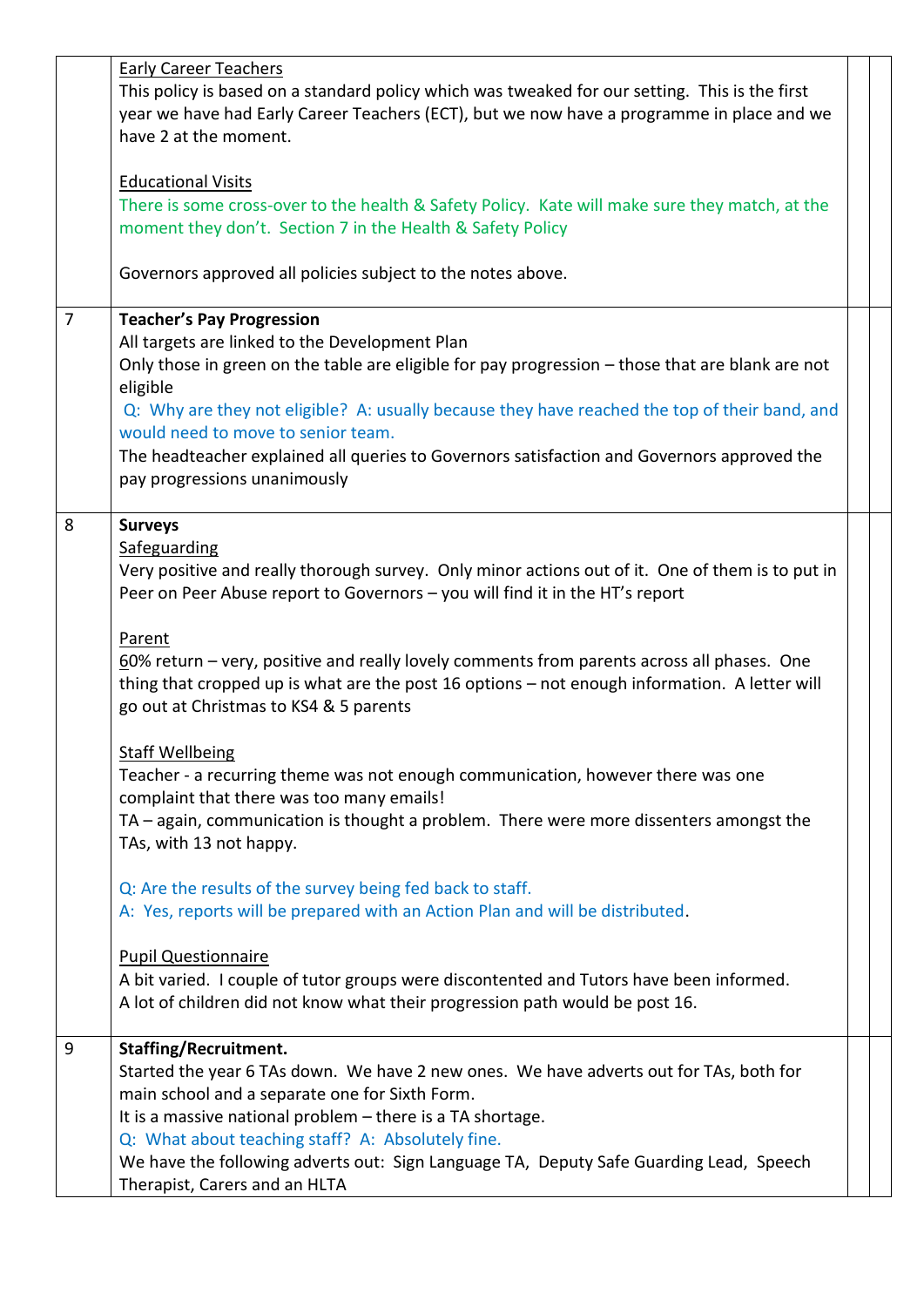| <b>Early Career Teachers</b>                                                                     |  |  |  |
|--------------------------------------------------------------------------------------------------|--|--|--|
| This policy is based on a standard policy which was tweaked for our setting. This is the first   |  |  |  |
| year we have had Early Career Teachers (ECT), but we now have a programme in place and we        |  |  |  |
| have 2 at the moment.                                                                            |  |  |  |
|                                                                                                  |  |  |  |
| <b>Educational Visits</b>                                                                        |  |  |  |
| There is some cross-over to the health & Safety Policy. Kate will make sure they match, at the   |  |  |  |
| moment they don't. Section 7 in the Health & Safety Policy                                       |  |  |  |
|                                                                                                  |  |  |  |
| Governors approved all policies subject to the notes above.                                      |  |  |  |
|                                                                                                  |  |  |  |
| $\overline{7}$<br><b>Teacher's Pay Progression</b>                                               |  |  |  |
| All targets are linked to the Development Plan                                                   |  |  |  |
| Only those in green on the table are eligible for pay progression - those that are blank are not |  |  |  |
|                                                                                                  |  |  |  |
| eligible                                                                                         |  |  |  |
| Q: Why are they not eligible? A: usually because they have reached the top of their band, and    |  |  |  |
| would need to move to senior team.                                                               |  |  |  |
| The headteacher explained all queries to Governors satisfaction and Governors approved the       |  |  |  |
| pay progressions unanimously                                                                     |  |  |  |
|                                                                                                  |  |  |  |
| 8<br><b>Surveys</b>                                                                              |  |  |  |
| Safeguarding                                                                                     |  |  |  |
| Very positive and really thorough survey. Only minor actions out of it. One of them is to put in |  |  |  |
| Peer on Peer Abuse report to Governors - you will find it in the HT's report                     |  |  |  |
|                                                                                                  |  |  |  |
| Parent                                                                                           |  |  |  |
| 60% return – very, positive and really lovely comments from parents across all phases. One       |  |  |  |
| thing that cropped up is what are the post 16 options - not enough information. A letter will    |  |  |  |
| go out at Christmas to KS4 & 5 parents                                                           |  |  |  |
|                                                                                                  |  |  |  |
| <b>Staff Wellbeing</b>                                                                           |  |  |  |
| Teacher - a recurring theme was not enough communication, however there was one                  |  |  |  |
| complaint that there was too many emails!                                                        |  |  |  |
| TA - again, communication is thought a problem. There were more dissenters amongst the           |  |  |  |
| TAs, with 13 not happy.                                                                          |  |  |  |
|                                                                                                  |  |  |  |
| Q: Are the results of the survey being fed back to staff.                                        |  |  |  |
| A: Yes, reports will be prepared with an Action Plan and will be distributed.                    |  |  |  |
|                                                                                                  |  |  |  |
| <b>Pupil Questionnaire</b>                                                                       |  |  |  |
| A bit varied. I couple of tutor groups were discontented and Tutors have been informed.          |  |  |  |
| A lot of children did not know what their progression path would be post 16.                     |  |  |  |
|                                                                                                  |  |  |  |
| <b>Staffing/Recruitment.</b><br>9                                                                |  |  |  |
| Started the year 6 TAs down. We have 2 new ones. We have adverts out for TAs, both for           |  |  |  |
| main school and a separate one for Sixth Form.                                                   |  |  |  |
| It is a massive national problem - there is a TA shortage.                                       |  |  |  |
| Q: What about teaching staff? A: Absolutely fine.                                                |  |  |  |
| We have the following adverts out: Sign Language TA, Deputy Safe Guarding Lead, Speech           |  |  |  |
| Therapist, Carers and an HLTA                                                                    |  |  |  |